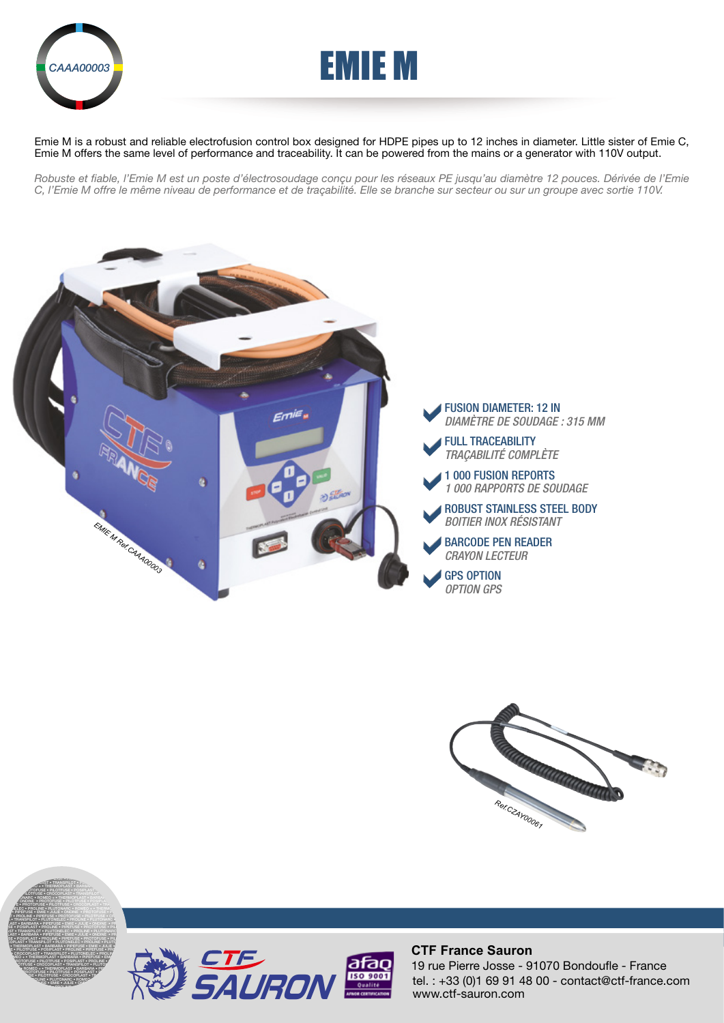

PROLINE • PIPEFUSE • PROTOFUSE • PILOTFUSE • CROCOPLAST • TRANSPILOT • THERMOPLAST • PIPEFUSE • EMIE • PILOTFUSE • PILOTFUSE • PILOTFUSE • PILOTFUSE • PRODUCTS **PILOT • TRANSPILOT • PLUT PLOTON • THERMOPLAST • BARBARA • JULIE • PILOTFUSE • POSIPLAST • PROLINE • PROPERTIES PROTOCOPLAST • TRANSPILOT • PLUT OF PROPERTIES PROVIDED + • THERMOPLAST • BARBAR EMIE • PROTOFUSE • PILOTFUSE • POSIPLAST • PROTOFUSE E** • PROTOFUSE • PILOTFUSE • CROCOPLAST • TRANSPILOT **ELEC • PROLINE • PLUTONARC • ROMEO + • THERMOPLAST •** FARBARA • PIPEFUSE • EMIE • JULIE • ONDINE • PROTOFUSE • P.<br>T • PROLINE • PIPEFUSE • PROTOFUSE • PILOTFUSE • CROCOPLAST • PROTOFUSE • PROTOFUSE • CROCOPLAST • PROTOFUSE • • TRANSPILOT • PLUTONELEC • PROLINE • PLUTONARC • ROMEO + LAST • BARBARA • PIPEFUSE • EMIE • JULIE • ONDINE • PROTO



Emie M is a robust and reliable electrofusion control box designed for HDPE pipes up to 12 inches in diameter. Little sister of Emie C, Emie M offers the same level of performance and traceability. It can be powered from the mains or a generator with 110V output.

*Robuste et fiable, l'Emie M est un poste d'électrosoudage conçu pour les réseaux PE jusqu'au diamètre 12 pouces. Dérivée de l'Emie C, l'Emie M offre le même niveau de performance et de traçabilité. Elle se branche sur secteur ou sur un groupe avec sortie 110V.*







## **CTF France Sauron**

tel. : +33 (0)1 69 91 48 00 - contact@ctf-france.com www.ctf-sauron.com 19 rue Pierre Josse - 91070 Bondoufle - France